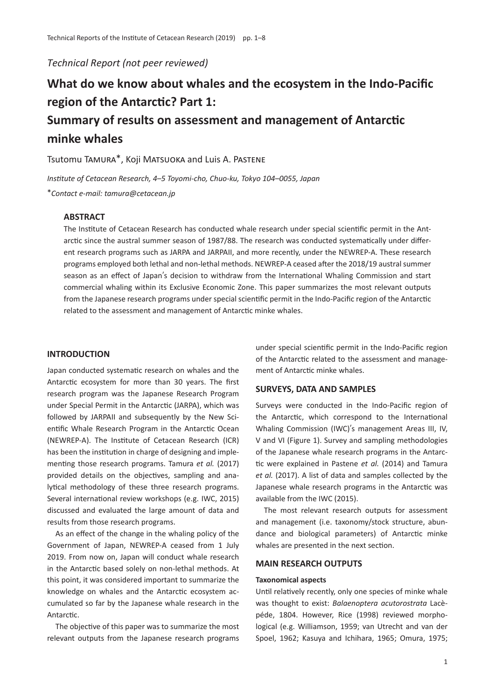*Technical Report (not peer reviewed)*

# **What do we know about whales and the ecosystem in the Indo-Pacific region of the Antarctic? Part 1: Summary of results on assessment and management of Antarctic minke whales**

Tsutomu Tamura\*, Koji Matsuoka and Luis A. Pastene

*Institute of Cetacean Research, 4*–*5 Toyomi-cho, Chuo-ku, Tokyo 104*–*0055, Japan* \**Contact e-mail: tamura@cetacean.jp*

## **ABSTRACT**

The Institute of Cetacean Research has conducted whale research under special scientific permit in the Antarctic since the austral summer season of 1987/88. The research was conducted systematically under different research programs such as JARPA and JARPAII, and more recently, under the NEWREP-A. These research programs employed both lethal and non-lethal methods. NEWREP-A ceased after the 2018/19 austral summer season as an effect of Japan's decision to withdraw from the International Whaling Commission and start commercial whaling within its Exclusive Economic Zone. This paper summarizes the most relevant outputs from the Japanese research programs under special scientific permit in the Indo-Pacific region of the Antarctic related to the assessment and management of Antarctic minke whales.

## **INTRODUCTION**

Japan conducted systematic research on whales and the Antarctic ecosystem for more than 30 years. The first research program was the Japanese Research Program under Special Permit in the Antarctic (JARPA), which was followed by JARPAII and subsequently by the New Scientific Whale Research Program in the Antarctic Ocean (NEWREP-A). The Institute of Cetacean Research (ICR) has been the institution in charge of designing and implementing those research programs. Tamura *et al.* (2017) provided details on the objectives, sampling and analytical methodology of these three research programs. Several international review workshops (e.g. IWC, 2015) discussed and evaluated the large amount of data and results from those research programs.

As an effect of the change in the whaling policy of the Government of Japan, NEWREP-A ceased from 1 July 2019. From now on, Japan will conduct whale research in the Antarctic based solely on non-lethal methods. At this point, it was considered important to summarize the knowledge on whales and the Antarctic ecosystem accumulated so far by the Japanese whale research in the Antarctic.

The objective of this paper was to summarize the most relevant outputs from the Japanese research programs under special scientific permit in the Indo-Pacific region of the Antarctic related to the assessment and management of Antarctic minke whales.

## **SURVEYS, DATA AND SAMPLES**

Surveys were conducted in the Indo-Pacific region of the Antarctic, which correspond to the International Whaling Commission (IWC)'s management Areas III, IV, V and VI (Figure 1). Survey and sampling methodologies of the Japanese whale research programs in the Antarctic were explained in Pastene *et al.* (2014) and Tamura *et al.* (2017). A list of data and samples collected by the Japanese whale research programs in the Antarctic was available from the IWC (2015).

The most relevant research outputs for assessment and management (i.e. taxonomy/stock structure, abundance and biological parameters) of Antarctic minke whales are presented in the next section.

## **MAIN RESEARCH OUTPUTS**

## **Taxonomical aspects**

Until relatively recently, only one species of minke whale was thought to exist: *Balaenoptera acutorostrata* Lacèpéde, 1804. However, Rice (1998) reviewed morphological (e.g. Williamson, 1959; van Utrecht and van der Spoel, 1962; Kasuya and Ichihara, 1965; Omura, 1975;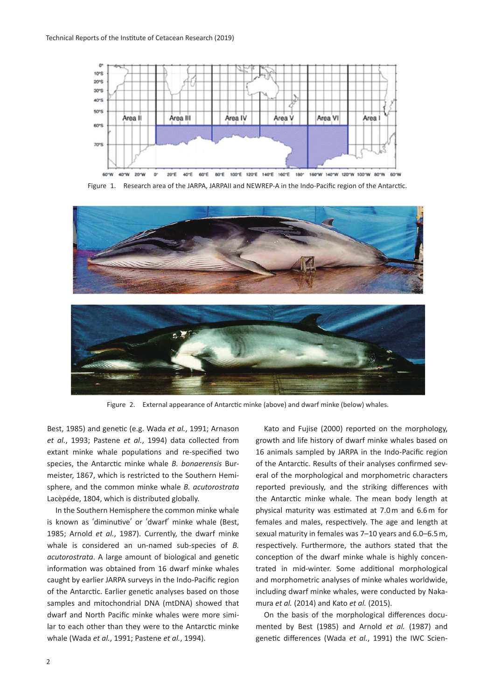

Figure 1. Research area of the JARPA, JARPAII and NEWREP-A in the Indo-Pacific region of the Antarctic.



Figure 2. External appearance of Antarctic minke (above) and dwarf minke (below) whales.

Best, 1985) and genetic (e.g. Wada *et al.*, 1991; Arnason *et al.*, 1993; Pastene *et al.*, 1994) data collected from extant minke whale populations and re-specified two species, the Antarctic minke whale *B. bonaerensis* Burmeister, 1867, which is restricted to the Southern Hemisphere, and the common minke whale *B. acutorostrata* Lacèpéde, 1804, which is distributed globally.

In the Southern Hemisphere the common minke whale is known as ʻdiminutive' or ʻdwarf' minke whale (Best, 1985; Arnold *et al.*, 1987). Currently, the dwarf minke whale is considered an un-named sub-species of *B. acutorostrata*. A large amount of biological and genetic information was obtained from 16 dwarf minke whales caught by earlier JARPA surveys in the Indo-Pacific region of the Antarctic. Earlier genetic analyses based on those samples and mitochondrial DNA (mtDNA) showed that dwarf and North Pacific minke whales were more similar to each other than they were to the Antarctic minke whale (Wada *et al.*, 1991; Pastene *et al.*, 1994).

Kato and Fujise (2000) reported on the morphology, growth and life history of dwarf minke whales based on 16 animals sampled by JARPA in the Indo-Pacific region of the Antarctic. Results of their analyses confirmed several of the morphological and morphometric characters reported previously, and the striking differences with the Antarctic minke whale. The mean body length at physical maturity was estimated at 7.0 m and 6.6 m for females and males, respectively. The age and length at sexual maturity in females was 7–10 years and 6.0–6.5 m, respectively. Furthermore, the authors stated that the conception of the dwarf minke whale is highly concentrated in mid-winter. Some additional morphological and morphometric analyses of minke whales worldwide, including dwarf minke whales, were conducted by Nakamura *et al.* (2014) and Kato *et al.* (2015).

On the basis of the morphological differences documented by Best (1985) and Arnold *et al.* (1987) and genetic differences (Wada *et al.*, 1991) the IWC Scien-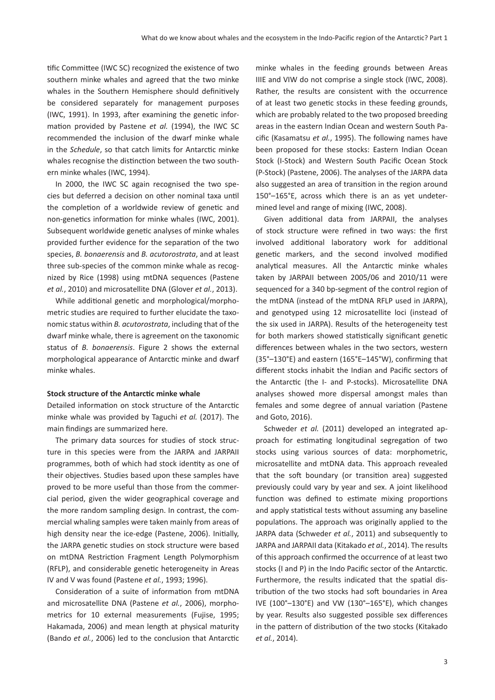tific Committee (IWC SC) recognized the existence of two southern minke whales and agreed that the two minke whales in the Southern Hemisphere should definitively be considered separately for management purposes (IWC, 1991). In 1993, after examining the genetic information provided by Pastene *et al.* (1994), the IWC SC recommended the inclusion of the dwarf minke whale in the *Schedule*, so that catch limits for Antarctic minke whales recognise the distinction between the two southern minke whales (IWC, 1994).

In 2000, the IWC SC again recognised the two species but deferred a decision on other nominal taxa until the completion of a worldwide review of genetic and non-genetics information for minke whales (IWC, 2001). Subsequent worldwide genetic analyses of minke whales provided further evidence for the separation of the two species, *B. bonaerensis* and *B. acutorostrata*, and at least three sub-species of the common minke whale as recognized by Rice (1998) using mtDNA sequences (Pastene *et al.*, 2010) and microsatellite DNA (Glover *et al.*, 2013).

While additional genetic and morphological/morphometric studies are required to further elucidate the taxonomic status within *B. acutorostrata*, including that of the dwarf minke whale, there is agreement on the taxonomic status of *B. bonaerensis*. Figure 2 shows the external morphological appearance of Antarctic minke and dwarf minke whales.

#### **Stock structure of the Antarctic minke whale**

Detailed information on stock structure of the Antarctic minke whale was provided by Taguchi *et al.* (2017). The main findings are summarized here.

The primary data sources for studies of stock structure in this species were from the JARPA and JARPAII programmes, both of which had stock identity as one of their objectives. Studies based upon these samples have proved to be more useful than those from the commercial period, given the wider geographical coverage and the more random sampling design. In contrast, the commercial whaling samples were taken mainly from areas of high density near the ice-edge (Pastene, 2006). Initially, the JARPA genetic studies on stock structure were based on mtDNA Restriction Fragment Length Polymorphism (RFLP), and considerable genetic heterogeneity in Areas IV and V was found (Pastene *et al.*, 1993; 1996).

Consideration of a suite of information from mtDNA and microsatellite DNA (Pastene *et al.*, 2006), morphometrics for 10 external measurements (Fujise, 1995; Hakamada, 2006) and mean length at physical maturity (Bando *et al.*, 2006) led to the conclusion that Antarctic minke whales in the feeding grounds between Areas IIIE and VIW do not comprise a single stock (IWC, 2008). Rather, the results are consistent with the occurrence of at least two genetic stocks in these feeding grounds, which are probably related to the two proposed breeding areas in the eastern Indian Ocean and western South Pacific (Kasamatsu *et al.*, 1995). The following names have been proposed for these stocks: Eastern Indian Ocean Stock (I-Stock) and Western South Pacific Ocean Stock (P-Stock) (Pastene, 2006). The analyses of the JARPA data also suggested an area of transition in the region around 150°–165°E, across which there is an as yet undetermined level and range of mixing (IWC, 2008).

Given additional data from JARPAII, the analyses of stock structure were refined in two ways: the first involved additional laboratory work for additional genetic markers, and the second involved modified analytical measures. All the Antarctic minke whales taken by JARPAII between 2005/06 and 2010/11 were sequenced for a 340 bp-segment of the control region of the mtDNA (instead of the mtDNA RFLP used in JARPA), and genotyped using 12 microsatellite loci (instead of the six used in JARPA). Results of the heterogeneity test for both markers showed statistically significant genetic differences between whales in the two sectors, western (35°–130°E) and eastern (165°E–145°W), confirming that different stocks inhabit the Indian and Pacific sectors of the Antarctic (the I- and P-stocks). Microsatellite DNA analyses showed more dispersal amongst males than females and some degree of annual variation (Pastene and Goto, 2016).

Schweder *et al.* (2011) developed an integrated approach for estimating longitudinal segregation of two stocks using various sources of data: morphometric, microsatellite and mtDNA data. This approach revealed that the soft boundary (or transition area) suggested previously could vary by year and sex. A joint likelihood function was defined to estimate mixing proportions and apply statistical tests without assuming any baseline populations. The approach was originally applied to the JARPA data (Schweder *et al.*, 2011) and subsequently to JARPA and JARPAII data (Kitakado *et al.*, 2014). The results of this approach confirmed the occurrence of at least two stocks (I and P) in the Indo Pacific sector of the Antarctic. Furthermore, the results indicated that the spatial distribution of the two stocks had soft boundaries in Area IVE (100°–130°E) and VW (130°–165°E), which changes by year. Results also suggested possible sex differences in the pattern of distribution of the two stocks (Kitakado *et al.*, 2014).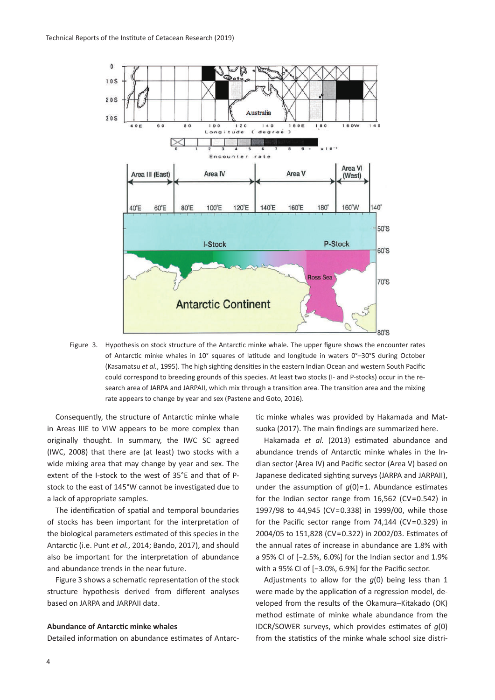

Figure 3. Hypothesis on stock structure of the Antarctic minke whale. The upper figure shows the encounter rates of Antarctic minke whales in 10° squares of latitude and longitude in waters 0°–30°S during October (Kasamatsu *et al.*, 1995). The high sighting densities in the eastern Indian Ocean and western South Pacific could correspond to breeding grounds of this species. At least two stocks (I- and P-stocks) occur in the research area of JARPA and JARPAII, which mix through a transition area. The transition area and the mixing rate appears to change by year and sex (Pastene and Goto, 2016).

Consequently, the structure of Antarctic minke whale in Areas IIIE to VIW appears to be more complex than originally thought. In summary, the IWC SC agreed (IWC, 2008) that there are (at least) two stocks with a wide mixing area that may change by year and sex. The extent of the I-stock to the west of 35°E and that of Pstock to the east of 145°W cannot be investigated due to a lack of appropriate samples.

The identification of spatial and temporal boundaries of stocks has been important for the interpretation of the biological parameters estimated of this species in the Antarctic (i.e. Punt *et al.*, 2014; Bando, 2017), and should also be important for the interpretation of abundance and abundance trends in the near future.

Figure 3 shows a schematic representation of the stock structure hypothesis derived from different analyses based on JARPA and JARPAII data.

## **Abundance of Antarctic minke whales**

Detailed information on abundance estimates of Antarc-

tic minke whales was provided by Hakamada and Matsuoka (2017). The main findings are summarized here.

Hakamada *et al.* (2013) estimated abundance and abundance trends of Antarctic minke whales in the Indian sector (Area IV) and Pacific sector (Area V) based on Japanese dedicated sighting surveys (JARPA and JARPAII), under the assumption of  $q(0)=1$ . Abundance estimates for the Indian sector range from 16,562 (CV=0.542) in 1997/98 to 44,945 (CV=0.338) in 1999/00, while those for the Pacific sector range from 74,144 (CV=0.329) in 2004/05 to 151,828 (CV=0.322) in 2002/03. Estimates of the annual rates of increase in abundance are 1.8% with a 95% CI of [−2.5%, 6.0%] for the Indian sector and 1.9% with a 95% CI of [−3.0%, 6.9%] for the Pacific sector.

Adjustments to allow for the *g*(0) being less than 1 were made by the application of a regression model, developed from the results of the Okamura–Kitakado (OK) method estimate of minke whale abundance from the IDCR/SOWER surveys, which provides estimates of *g*(0) from the statistics of the minke whale school size distri-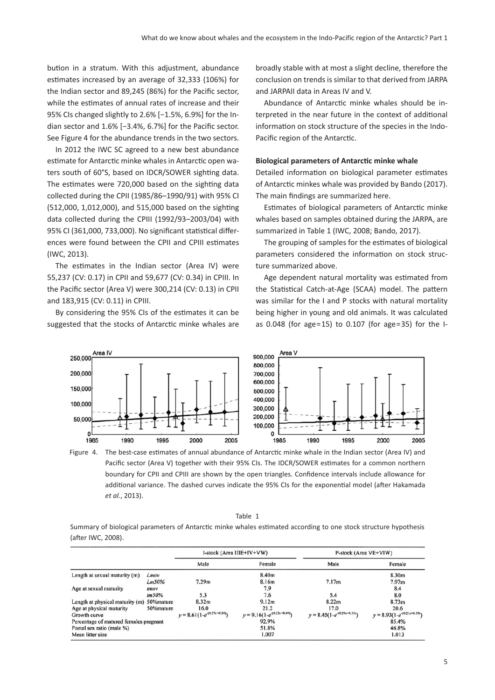bution in a stratum. With this adjustment, abundance estimates increased by an average of 32,333 (106%) for the Indian sector and 89,245 (86%) for the Pacific sector, while the estimates of annual rates of increase and their 95% CIs changed slightly to 2.6% [−1.5%, 6.9%] for the Indian sector and 1.6% [−3.4%, 6.7%] for the Pacific sector. See Figure 4 for the abundance trends in the two sectors.

In 2012 the IWC SC agreed to a new best abundance estimate for Antarctic minke whales in Antarctic open waters south of 60°S, based on IDCR/SOWER sighting data. The estimates were 720,000 based on the sighting data collected during the CPII (1985/86–1990/91) with 95% CI (512,000, 1,012,000), and 515,000 based on the sighting data collected during the CPIII (1992/93–2003/04) with 95% CI (361,000, 733,000). No significant statistical differences were found between the CPII and CPIII estimates (IWC, 2013).

The estimates in the Indian sector (Area IV) were 55,237 (CV: 0.17) in CPII and 59,677 (CV: 0.34) in CPIII. In the Pacific sector (Area V) were 300,214 (CV: 0.13) in CPII and 183,915 (CV: 0.11) in CPIII.

By considering the 95% CIs of the estimates it can be suggested that the stocks of Antarctic minke whales are broadly stable with at most a slight decline, therefore the conclusion on trends is similar to that derived from JARPA and JARPAII data in Areas IV and V.

Abundance of Antarctic minke whales should be interpreted in the near future in the context of additional information on stock structure of the species in the Indo-Pacific region of the Antarctic.

# **Biological parameters of Antarctic minke whale**

Detailed information on biological parameter estimates of Antarctic minkes whale was provided by Bando (2017). The main findings are summarized here.

Estimates of biological parameters of Antarctic minke whales based on samples obtained during the JARPA, are summarized in Table 1 (IWC, 2008; Bando, 2017).

The grouping of samples for the estimates of biological parameters considered the information on stock structure summarized above.

Age dependent natural mortality was estimated from the Statistical Catch-at-Age (SCAA) model. The pattern was similar for the I and P stocks with natural mortality being higher in young and old animals. It was calculated as 0.048 (for age=15) to 0.107 (for age=35) for the I-



Figure 4. The best-case estimates of annual abundance of Antarctic minke whale in the Indian sector (Area IV) and Pacific sector (Area V) together with their 95% CIs. The IDCR/SOWER estimates for a common northern boundary for CPII and CPIII are shown by the open triangles. Confidence intervals include allowance for additional variance. The dashed curves indicate the 95% CIs for the exponential model (after Hakamada *et al.*, 2013).

|--|

Summary of biological parameters of Antarctic minke whales estimated according to one stock structure hypothesis (after IWC, 2008).

|                                            |            | I-stock (Area IIIE+IV+VW)       |                                 | P-stock (Area VE+VIW)           |                                 |
|--------------------------------------------|------------|---------------------------------|---------------------------------|---------------------------------|---------------------------------|
|                                            |            | Male                            | Female                          | Male                            | Female                          |
| Length at sexual maturity (m)              | Lmov       |                                 | 8.40m                           |                                 | 8.30m                           |
|                                            | Lm50%      | 7.29m                           | 8.16m                           | 7.17m                           | 7.97 <sub>m</sub>               |
| Age at sexual maturity                     | tmov       |                                 | 7.9                             |                                 | 8.4                             |
|                                            | 1m50%      | 5.3                             | 7.6                             | 5.4                             | 8.0                             |
| Length at physical maturity (m) 50% mature |            | 8.32m                           | 9.12 <sub>m</sub>               | 8.22 <sub>m</sub>               | 8.73m                           |
| Age at physical maturity                   | 50% mature | 16.0                            | 21.2                            | 17.0                            | 20.6                            |
| Growth curve                               |            | $y = 8.61(1-e^{-(0.27x+0.54)})$ | $y = 9.16(1-e^{-(0.23x+0.49)})$ | $y = 8.45(1-e^{-(0.29x+0.51)})$ | $y = 8.93(1-e^{-(0.21x+0.59)})$ |
| Percentage of matured females pregnant     |            |                                 | 92.9%                           |                                 | 85.4%                           |
| Foetal sex ratio (male %)                  |            |                                 | 51.8%                           |                                 | 46.8%                           |
| Mean litter size                           |            |                                 | 1.007                           |                                 | 1.013                           |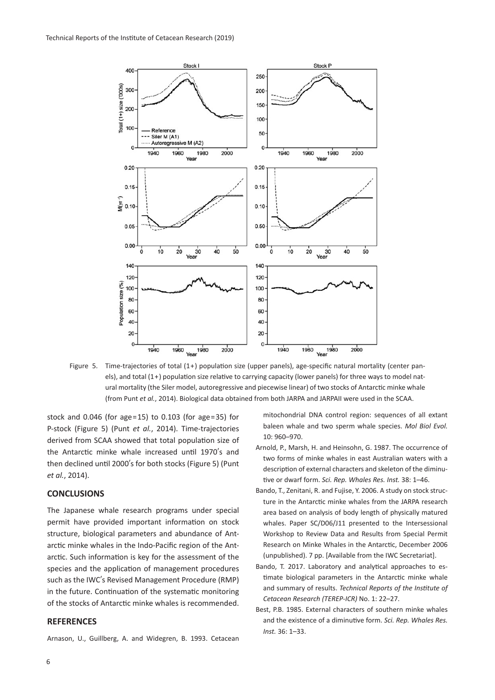

Figure 5. Time-trajectories of total (1+) population size (upper panels), age-specific natural mortality (center panels), and total (1+) population size relative to carrying capacity (lower panels) for three ways to model natural mortality (the Siler model, autoregressive and piecewise linear) of two stocks of Antarctic minke whale (from Punt *et al.*, 2014). Biological data obtained from both JARPA and JARPAII were used in the SCAA.

stock and 0.046 (for age=15) to 0.103 (for age=35) for P-stock (Figure 5) (Punt *et al.*, 2014). Time-trajectories derived from SCAA showed that total population size of the Antarctic minke whale increased until 1970's and then declined until 2000's for both stocks (Figure 5) (Punt *et al.*, 2014).

## **CONCLUSIONS**

The Japanese whale research programs under special permit have provided important information on stock structure, biological parameters and abundance of Antarctic minke whales in the Indo-Pacific region of the Antarctic. Such information is key for the assessment of the species and the application of management procedures such as the IWC's Revised Management Procedure (RMP) in the future. Continuation of the systematic monitoring of the stocks of Antarctic minke whales is recommended.

## **REFERENCES**

Arnason, U., Guillberg, A. and Widegren, B. 1993. Cetacean

mitochondrial DNA control region: sequences of all extant baleen whale and two sperm whale species. *Mol Biol Evol.* 10: 960–970.

- Arnold, P., Marsh, H. and Heinsohn, G. 1987. The occurrence of two forms of minke whales in east Australian waters with a description of external characters and skeleton of the diminutive or dwarf form. *Sci. Rep. Whales Res. Inst.* 38: 1–46.
- Bando, T., Zenitani, R. and Fujise, Y. 2006. A study on stock structure in the Antarctic minke whales from the JARPA research area based on analysis of body length of physically matured whales. Paper SC/D06/J11 presented to the Intersessional Workshop to Review Data and Results from Special Permit Research on Minke Whales in the Antarctic, December 2006 (unpublished). 7 pp. [Available from the IWC Secretariat].
- Bando, T. 2017. Laboratory and analytical approaches to estimate biological parameters in the Antarctic minke whale and summary of results. *Technical Reports of the Institute of Cetacean Research (TEREP-ICR)* No. 1: 22–27.
- Best, P.B. 1985. External characters of southern minke whales and the existence of a diminutive form. *Sci. Rep. Whales Res. Inst.* 36: 1–33.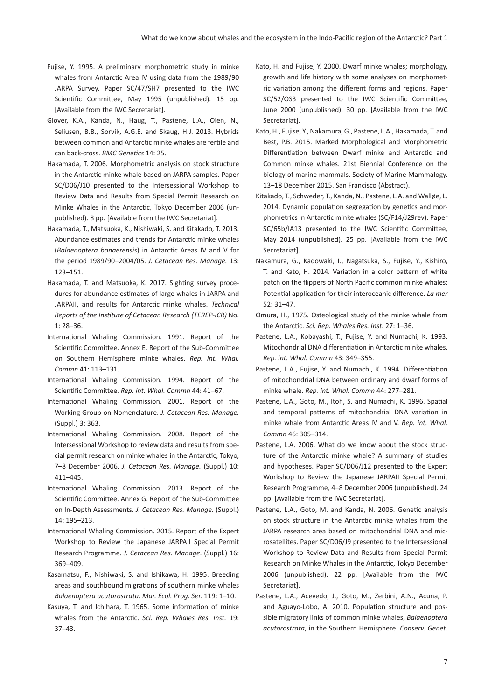- Fujise, Y. 1995. A preliminary morphometric study in minke whales from Antarctic Area IV using data from the 1989/90 JARPA Survey. Paper SC/47/SH7 presented to the IWC Scientific Committee, May 1995 (unpublished). 15 pp. [Available from the IWC Secretariat].
- Glover, K.A., Kanda, N., Haug, T., Pastene, L.A., Oien, N., Seliusen, B.B., Sorvik, A.G.E. and Skaug, H.J. 2013. Hybrids between common and Antarctic minke whales are fertile and can back-cross. *BMC Genetics* 14: 25.
- Hakamada, T. 2006. Morphometric analysis on stock structure in the Antarctic minke whale based on JARPA samples. Paper SC/D06/J10 presented to the Intersessional Workshop to Review Data and Results from Special Permit Research on Minke Whales in the Antarctic, Tokyo December 2006 (unpublished). 8 pp. [Available from the IWC Secretariat].
- Hakamada, T., Matsuoka, K., Nishiwaki, S. and Kitakado, T. 2013. Abundance estimates and trends for Antarctic minke whales (*Balaenoptera bonaerensis*) in Antarctic Areas IV and V for the period 1989/90–2004/05. *J. Cetacean Res. Manage.* 13: 123–151.
- Hakamada, T. and Matsuoka, K. 2017. Sighting survey procedures for abundance estimates of large whales in JARPA and JARPAII, and results for Antarctic minke whales. *Technical Reports of the Institute of Cetacean Research (TEREP-ICR)* No. 1: 28–36.
- International Whaling Commission. 1991. Report of the Scientific Committee. Annex E. Report of the Sub-Committee on Southern Hemisphere minke whales. *Rep. int. Whal. Commn* 41: 113–131.
- International Whaling Commission. 1994. Report of the Scientific Committee. *Rep. int. Whal. Commn* 44: 41–67.
- International Whaling Commission. 2001. Report of the Working Group on Nomenclature. *J. Cetacean Res. Manage.* (Suppl.) 3: 363.
- International Whaling Commission. 2008. Report of the Intersessional Workshop to review data and results from special permit research on minke whales in the Antarctic, Tokyo, 7–8 December 2006. *J. Cetacean Res. Manage.* (Suppl.) 10: 411–445.
- International Whaling Commission. 2013. Report of the Scientific Committee. Annex G. Report of the Sub-Committee on In-Depth Assessments. *J. Cetacean Res. Manage.* (Suppl.) 14: 195–213.
- International Whaling Commission. 2015. Report of the Expert Workshop to Review the Japanese JARPAII Special Permit Research Programme. *J. Cetacean Res. Manage*. (Suppl.) 16: 369–409.
- Kasamatsu, F., Nishiwaki, S. and Ishikawa, H. 1995. Breeding areas and southbound migrations of southern minke whales *Balaenoptera acutorostrata*. *Mar. Ecol. Prog. Ser.* 119: 1–10.
- Kasuya, T. and lchihara, T. 1965. Some information of minke whales from the Antarctic. *Sci. Rep. Whales Res. Inst.* 19: 37–43.
- Kato, H. and Fujise, Y. 2000. Dwarf minke whales; morphology, growth and life history with some analyses on morphometric variation among the different forms and regions. Paper SC/52/OS3 presented to the IWC Scientific Committee, June 2000 (unpublished). 30 pp. [Available from the IWC Secretariat].
- Kato, H., Fujise, Y., Nakamura, G., Pastene, L.A., Hakamada, T. and Best, P.B. 2015. Marked Morphological and Morphometric Differentiation between Dwarf minke and Antarctic and Common minke whales. 21st Biennial Conference on the biology of marine mammals. Society of Marine Mammalogy. 13–18 December 2015. San Francisco (Abstract).
- Kitakado, T., Schweder, T., Kanda, N., Pastene, L.A. and Walløe, L. 2014. Dynamic population segregation by genetics and morphometrics in Antarctic minke whales (SC/F14/J29rev). Paper SC/65b/IA13 presented to the IWC Scientific Committee, May 2014 (unpublished). 25 pp. [Available from the IWC Secretariat].
- Nakamura, G., Kadowaki, I., Nagatsuka, S., Fujise, Y., Kishiro, T. and Kato, H. 2014. Variation in a color pattern of white patch on the flippers of North Pacific common minke whales: Potential application for their interoceanic difference. *La mer* 52: 31–47.
- Omura, H., 1975. Osteological study of the minke whale from the Antarctic. *Sci. Rep. Whales Res. Inst*. 27: 1–36.
- Pastene, L.A., Kobayashi, T., Fujise, Y. and Numachi, K. 1993. Mitochondrial DNA differentiation in Antarctic minke whales. *Rep. int. Whal. Commn* 43: 349–355.
- Pastene, L.A., Fujise, Y. and Numachi, K. 1994. Differentiation of mitochondrial DNA between ordinary and dwarf forms of minke whale. *Rep. int. Whal. Commn* 44: 277–281.
- Pastene, L.A., Goto, M., Itoh, S. and Numachi, K. 1996. Spatial and temporal patterns of mitochondrial DNA variation in minke whale from Antarctic Areas IV and V. *Rep. int. Whal. Commn* 46: 305–314.
- Pastene, L.A. 2006. What do we know about the stock structure of the Antarctic minke whale? A summary of studies and hypotheses. Paper SC/D06/J12 presented to the Expert Workshop to Review the Japanese JARPAII Special Permit Research Programme, 4–8 December 2006 (unpublished). 24 pp. [Available from the IWC Secretariat].
- Pastene, L.A., Goto, M. and Kanda, N. 2006. Genetic analysis on stock structure in the Antarctic minke whales from the JARPA research area based on mitochondrial DNA and microsatellites. Paper SC/D06/J9 presented to the Intersessional Workshop to Review Data and Results from Special Permit Research on Minke Whales in the Antarctic, Tokyo December 2006 (unpublished). 22 pp. [Available from the IWC Secretariat].
- Pastene, L.A., Acevedo, J., Goto, M., Zerbini, A.N., Acuna, P. and Aguayo-Lobo, A. 2010. Population structure and possible migratory links of common minke whales, *Balaenoptera acutorostrata*, in the Southern Hemisphere. *Conserv. Genet.*